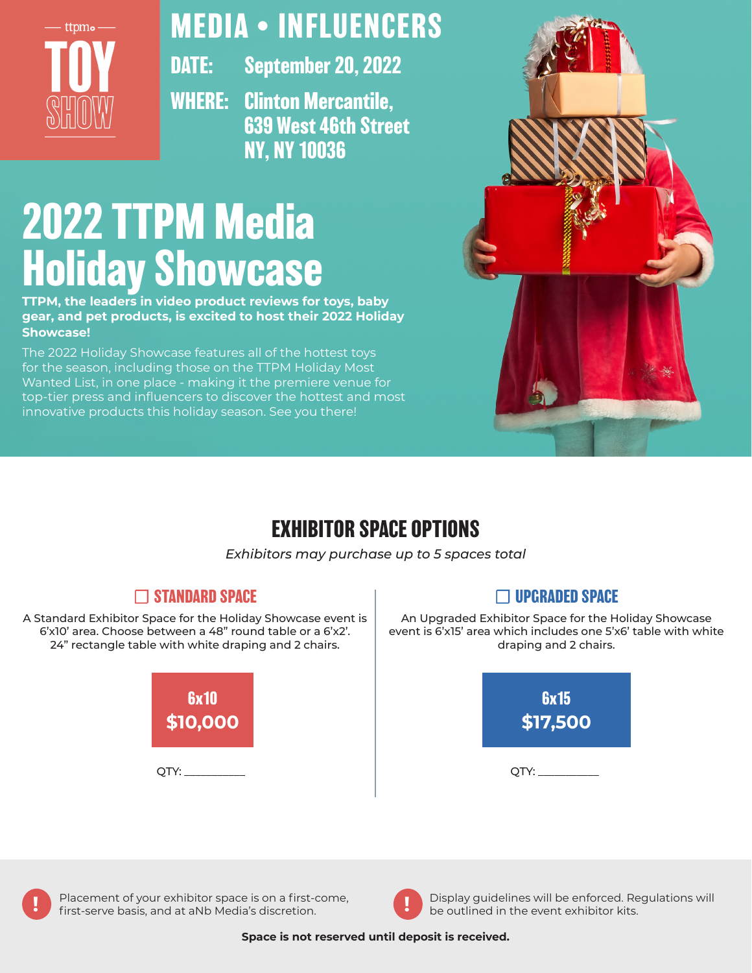

## **MEDIA • INFLUENCERS**

**DATE: September 20, 2022**

**WHERE: Clinton Mercantile, 639 West 46th Street NY, NY 10036** 

# **2022 TTPM Media Holiday Showcase**

**TTPM, the leaders in video product reviews for toys, baby gear, and pet products, is excited to host their 2022 Holiday Showcase!** 

The 2022 Holiday Showcase features all of the hottest toys for the season, including those on the TTPM Holiday Most Wanted List, in one place - making it the premiere venue for top-tier press and influencers to discover the hottest and most innovative products this holiday season. See you there!



## **EXHIBITOR SPACE OPTIONS**

*Exhibitors may purchase up to 5 spaces total*

## ☐ **STANDARD SPACE**

A Standard Exhibitor Space for the Holiday Showcase event is 6'x10' area. Choose between a 48" round table or a 6'x2'. 24" rectangle table with white draping and 2 chairs.



## ☐ **UPGRADED SPACE**

An Upgraded Exhibitor Space for the Holiday Showcase event is 6'x15' area which includes one 5'x6' table with white draping and 2 chairs.







**Placement of your exhibitor space is on a first-come, <b>I** Display guidelines will be enforced. Regulations will first-serve basis, and at aNb Media's discretion. be outlined in the event exhibitor kits.